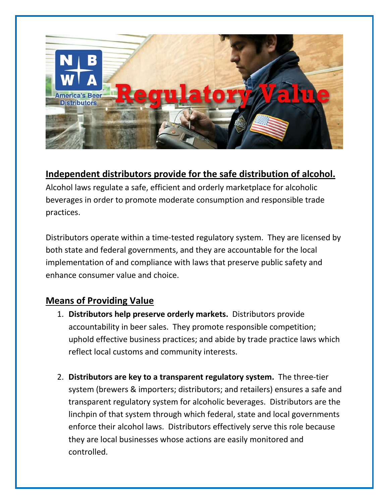

## **Independent distributors provide for the safe distribution of alcohol.**

Alcohol laws regulate a safe, efficient and orderly marketplace for alcoholic beverages in order to promote moderate consumption and responsible trade practices.

Distributors operate within a time-tested regulatory system. They are licensed by both state and federal governments, and they are accountable for the local implementation of and compliance with laws that preserve public safety and enhance consumer value and choice.

## **Means of Providing Value**

- 1. **Distributors help preserve orderly markets.** Distributors provide accountability in beer sales. They promote responsible competition; uphold effective business practices; and abide by trade practice laws which reflect local customs and community interests.
- 2. **Distributors are key to a transparent regulatory system.** The three-tier system (brewers & importers; distributors; and retailers) ensures a safe and transparent regulatory system for alcoholic beverages. Distributors are the linchpin of that system through which federal, state and local governments enforce their alcohol laws. Distributors effectively serve this role because they are local businesses whose actions are easily monitored and controlled.